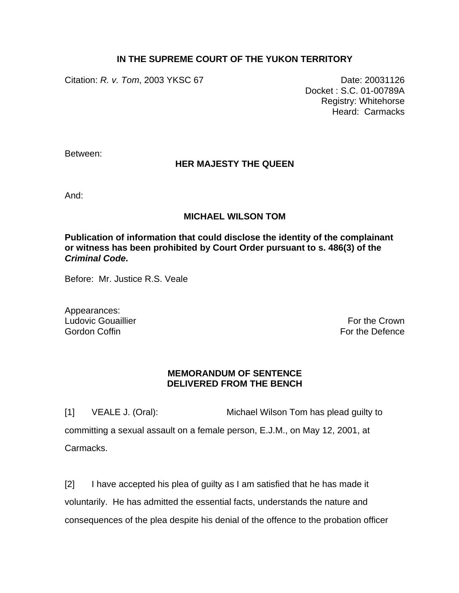## **IN THE SUPREME COURT OF THE YUKON TERRITORY**

Citation: *R. v. Tom*, 2003 YKSC 67 Date: 20031126

Docket : S.C. 01-00789A Registry: Whitehorse Heard: Carmacks

Between:

## **HER MAJESTY THE QUEEN**

And:

## **MICHAEL WILSON TOM**

**Publication of information that could disclose the identity of the complainant or witness has been prohibited by Court Order pursuant to s. 486(3) of the**  *Criminal Code***.** 

Before: Mr. Justice R.S. Veale

Appearances: Ludovic Gouaillier **For the Crown** Control of the Crown **For the Crown** Gordon Coffin For the Defence

## **MEMORANDUM OF SENTENCE DELIVERED FROM THE BENCH**

[1] VEALE J. (Oral): Michael Wilson Tom has plead guilty to committing a sexual assault on a female person, E.J.M., on May 12, 2001, at Carmacks.

[2] I have accepted his plea of guilty as I am satisfied that he has made it voluntarily. He has admitted the essential facts, understands the nature and consequences of the plea despite his denial of the offence to the probation officer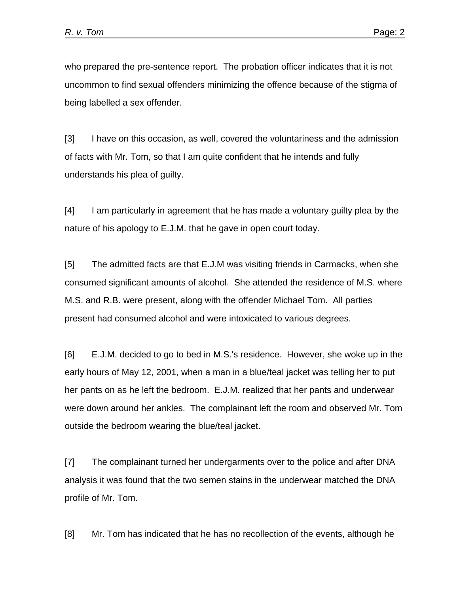who prepared the pre-sentence report. The probation officer indicates that it is not uncommon to find sexual offenders minimizing the offence because of the stigma of being labelled a sex offender.

[3] I have on this occasion, as well, covered the voluntariness and the admission of facts with Mr. Tom, so that I am quite confident that he intends and fully understands his plea of guilty.

[4] I am particularly in agreement that he has made a voluntary guilty plea by the nature of his apology to E.J.M. that he gave in open court today.

[5] The admitted facts are that E.J.M was visiting friends in Carmacks, when she consumed significant amounts of alcohol. She attended the residence of M.S. where M.S. and R.B. were present, along with the offender Michael Tom. All parties present had consumed alcohol and were intoxicated to various degrees.

[6] E.J.M. decided to go to bed in M.S.'s residence. However, she woke up in the early hours of May 12, 2001, when a man in a blue/teal jacket was telling her to put her pants on as he left the bedroom. E.J.M. realized that her pants and underwear were down around her ankles. The complainant left the room and observed Mr. Tom outside the bedroom wearing the blue/teal jacket.

[7] The complainant turned her undergarments over to the police and after DNA analysis it was found that the two semen stains in the underwear matched the DNA profile of Mr. Tom.

[8] Mr. Tom has indicated that he has no recollection of the events, although he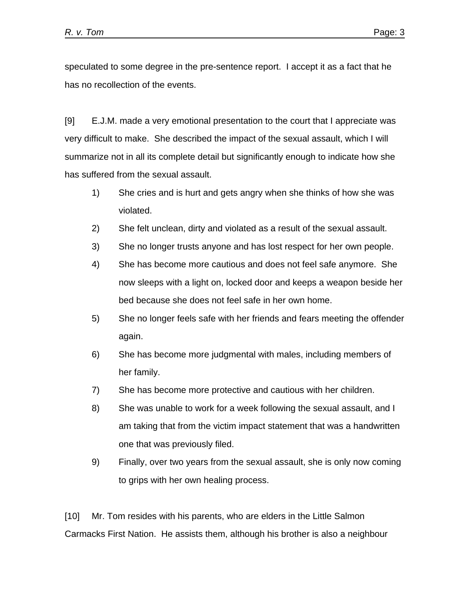speculated to some degree in the pre-sentence report. I accept it as a fact that he has no recollection of the events.

[9] E.J.M. made a very emotional presentation to the court that I appreciate was very difficult to make. She described the impact of the sexual assault, which I will summarize not in all its complete detail but significantly enough to indicate how she has suffered from the sexual assault.

- 1) She cries and is hurt and gets angry when she thinks of how she was violated.
- 2) She felt unclean, dirty and violated as a result of the sexual assault.
- 3) She no longer trusts anyone and has lost respect for her own people.
- 4) She has become more cautious and does not feel safe anymore. She now sleeps with a light on, locked door and keeps a weapon beside her bed because she does not feel safe in her own home.
- 5) She no longer feels safe with her friends and fears meeting the offender again.
- 6) She has become more judgmental with males, including members of her family.
- 7) She has become more protective and cautious with her children.
- 8) She was unable to work for a week following the sexual assault, and I am taking that from the victim impact statement that was a handwritten one that was previously filed.
- 9) Finally, over two years from the sexual assault, she is only now coming to grips with her own healing process.

[10] Mr. Tom resides with his parents, who are elders in the Little Salmon Carmacks First Nation. He assists them, although his brother is also a neighbour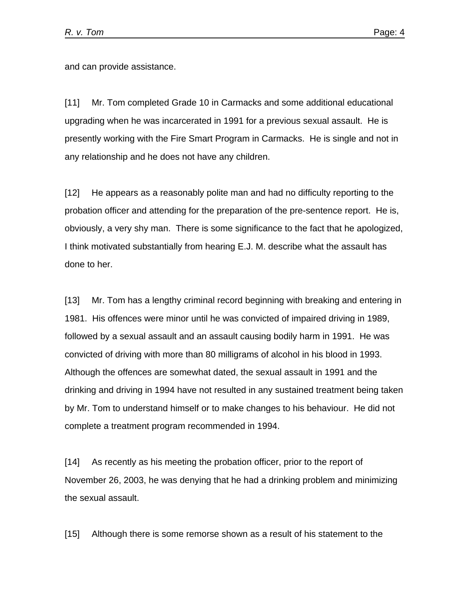and can provide assistance.

[11] Mr. Tom completed Grade 10 in Carmacks and some additional educational upgrading when he was incarcerated in 1991 for a previous sexual assault. He is presently working with the Fire Smart Program in Carmacks. He is single and not in any relationship and he does not have any children.

[12] He appears as a reasonably polite man and had no difficulty reporting to the probation officer and attending for the preparation of the pre-sentence report. He is, obviously, a very shy man. There is some significance to the fact that he apologized, I think motivated substantially from hearing E.J. M. describe what the assault has done to her.

[13] Mr. Tom has a lengthy criminal record beginning with breaking and entering in 1981. His offences were minor until he was convicted of impaired driving in 1989, followed by a sexual assault and an assault causing bodily harm in 1991. He was convicted of driving with more than 80 milligrams of alcohol in his blood in 1993. Although the offences are somewhat dated, the sexual assault in 1991 and the drinking and driving in 1994 have not resulted in any sustained treatment being taken by Mr. Tom to understand himself or to make changes to his behaviour. He did not complete a treatment program recommended in 1994.

[14] As recently as his meeting the probation officer, prior to the report of November 26, 2003, he was denying that he had a drinking problem and minimizing the sexual assault.

[15] Although there is some remorse shown as a result of his statement to the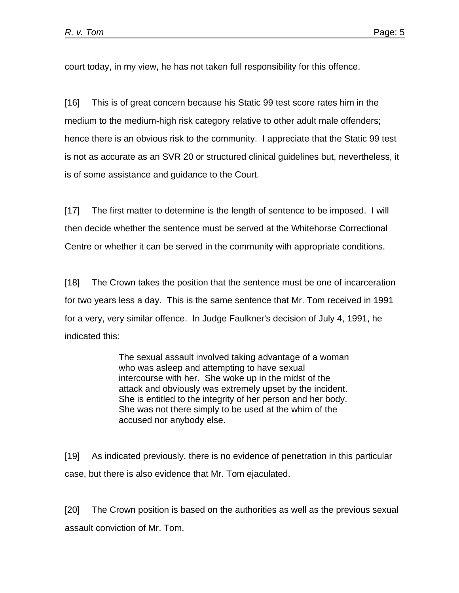court today, in my view, he has not taken full responsibility for this offence.

[16] This is of great concern because his Static 99 test score rates him in the medium to the medium-high risk category relative to other adult male offenders; hence there is an obvious risk to the community. I appreciate that the Static 99 test is not as accurate as an SVR 20 or structured clinical guidelines but, nevertheless, it is of some assistance and guidance to the Court.

[17] The first matter to determine is the length of sentence to be imposed. I will then decide whether the sentence must be served at the Whitehorse Correctional Centre or whether it can be served in the community with appropriate conditions.

[18] The Crown takes the position that the sentence must be one of incarceration for two years less a day. This is the same sentence that Mr. Tom received in 1991 for a very, very similar offence. In Judge Faulkner's decision of July 4, 1991, he indicated this:

> The sexual assault involved taking advantage of a woman who was asleep and attempting to have sexual intercourse with her. She woke up in the midst of the attack and obviously was extremely upset by the incident. She is entitled to the integrity of her person and her body. She was not there simply to be used at the whim of the accused nor anybody else.

[19] As indicated previously, there is no evidence of penetration in this particular case, but there is also evidence that Mr. Tom ejaculated.

[20] The Crown position is based on the authorities as well as the previous sexual assault conviction of Mr. Tom.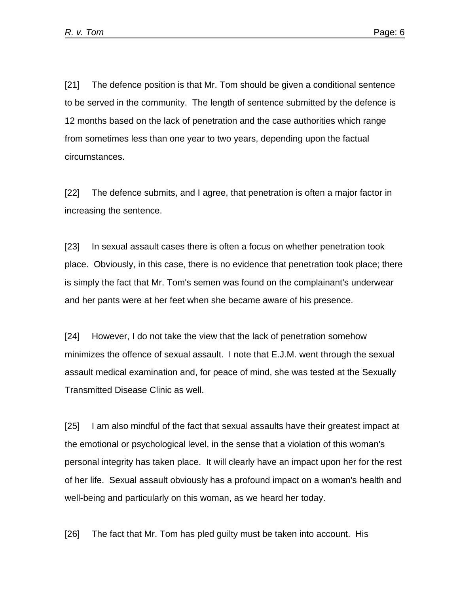[21] The defence position is that Mr. Tom should be given a conditional sentence to be served in the community. The length of sentence submitted by the defence is 12 months based on the lack of penetration and the case authorities which range from sometimes less than one year to two years, depending upon the factual circumstances.

[22] The defence submits, and I agree, that penetration is often a major factor in increasing the sentence.

[23] In sexual assault cases there is often a focus on whether penetration took place. Obviously, in this case, there is no evidence that penetration took place; there is simply the fact that Mr. Tom's semen was found on the complainant's underwear and her pants were at her feet when she became aware of his presence.

[24] However, I do not take the view that the lack of penetration somehow minimizes the offence of sexual assault. I note that E.J.M. went through the sexual assault medical examination and, for peace of mind, she was tested at the Sexually Transmitted Disease Clinic as well.

[25] I am also mindful of the fact that sexual assaults have their greatest impact at the emotional or psychological level, in the sense that a violation of this woman's personal integrity has taken place. It will clearly have an impact upon her for the rest of her life. Sexual assault obviously has a profound impact on a woman's health and well-being and particularly on this woman, as we heard her today.

[26] The fact that Mr. Tom has pled guilty must be taken into account. His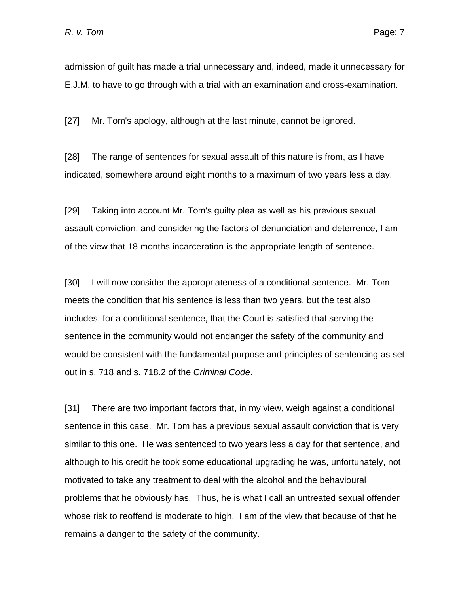admission of guilt has made a trial unnecessary and, indeed, made it unnecessary for E.J.M. to have to go through with a trial with an examination and cross-examination.

[27] Mr. Tom's apology, although at the last minute, cannot be ignored.

[28] The range of sentences for sexual assault of this nature is from, as I have indicated, somewhere around eight months to a maximum of two years less a day.

[29] Taking into account Mr. Tom's guilty plea as well as his previous sexual assault conviction, and considering the factors of denunciation and deterrence, I am of the view that 18 months incarceration is the appropriate length of sentence.

[30] I will now consider the appropriateness of a conditional sentence. Mr. Tom meets the condition that his sentence is less than two years, but the test also includes, for a conditional sentence, that the Court is satisfied that serving the sentence in the community would not endanger the safety of the community and would be consistent with the fundamental purpose and principles of sentencing as set out in s. 718 and s. 718.2 of the *Criminal Code*.

[31] There are two important factors that, in my view, weigh against a conditional sentence in this case. Mr. Tom has a previous sexual assault conviction that is very similar to this one. He was sentenced to two years less a day for that sentence, and although to his credit he took some educational upgrading he was, unfortunately, not motivated to take any treatment to deal with the alcohol and the behavioural problems that he obviously has. Thus, he is what I call an untreated sexual offender whose risk to reoffend is moderate to high. I am of the view that because of that he remains a danger to the safety of the community.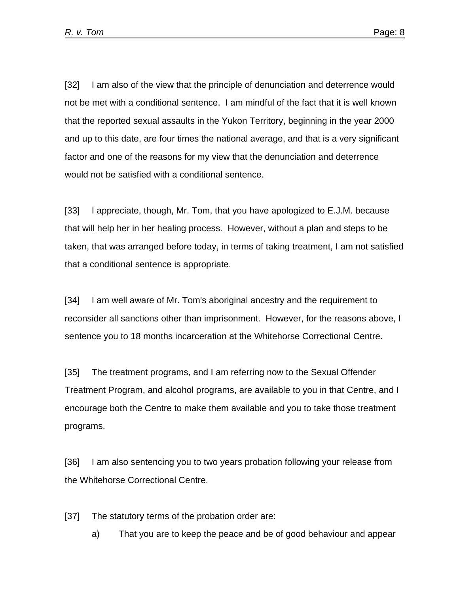[32] I am also of the view that the principle of denunciation and deterrence would not be met with a conditional sentence. I am mindful of the fact that it is well known that the reported sexual assaults in the Yukon Territory, beginning in the year 2000 and up to this date, are four times the national average, and that is a very significant factor and one of the reasons for my view that the denunciation and deterrence would not be satisfied with a conditional sentence.

[33] I appreciate, though, Mr. Tom, that you have apologized to E.J.M. because that will help her in her healing process. However, without a plan and steps to be taken, that was arranged before today, in terms of taking treatment, I am not satisfied that a conditional sentence is appropriate.

[34] I am well aware of Mr. Tom's aboriginal ancestry and the requirement to reconsider all sanctions other than imprisonment. However, for the reasons above, I sentence you to 18 months incarceration at the Whitehorse Correctional Centre.

[35] The treatment programs, and I am referring now to the Sexual Offender Treatment Program, and alcohol programs, are available to you in that Centre, and I encourage both the Centre to make them available and you to take those treatment programs.

[36] I am also sentencing you to two years probation following your release from the Whitehorse Correctional Centre.

[37] The statutory terms of the probation order are:

a) That you are to keep the peace and be of good behaviour and appear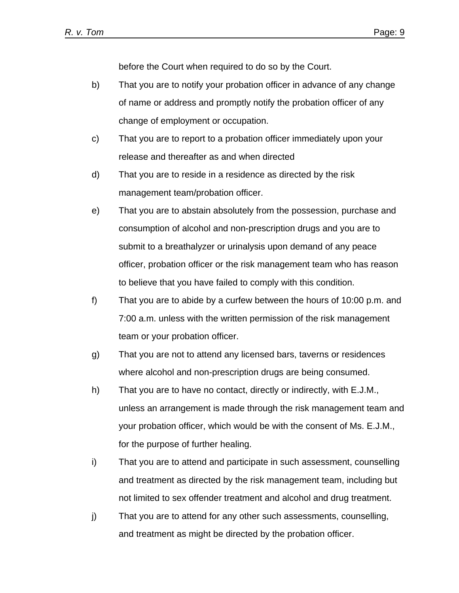before the Court when required to do so by the Court.

- b) That you are to notify your probation officer in advance of any change of name or address and promptly notify the probation officer of any change of employment or occupation.
- c) That you are to report to a probation officer immediately upon your release and thereafter as and when directed
- d) That you are to reside in a residence as directed by the risk management team/probation officer.
- e) That you are to abstain absolutely from the possession, purchase and consumption of alcohol and non-prescription drugs and you are to submit to a breathalyzer or urinalysis upon demand of any peace officer, probation officer or the risk management team who has reason to believe that you have failed to comply with this condition.
- f) That you are to abide by a curfew between the hours of 10:00 p.m. and 7:00 a.m. unless with the written permission of the risk management team or your probation officer.
- g) That you are not to attend any licensed bars, taverns or residences where alcohol and non-prescription drugs are being consumed.
- h) That you are to have no contact, directly or indirectly, with E.J.M., unless an arrangement is made through the risk management team and your probation officer, which would be with the consent of Ms. E.J.M., for the purpose of further healing.
- i) That you are to attend and participate in such assessment, counselling and treatment as directed by the risk management team, including but not limited to sex offender treatment and alcohol and drug treatment.
- j) That you are to attend for any other such assessments, counselling, and treatment as might be directed by the probation officer.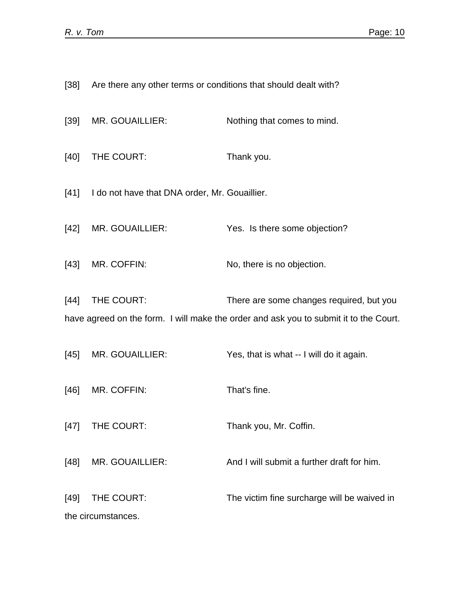|        | [38] Are there any other terms or conditions that should dealt with? |                                                                                                                                   |
|--------|----------------------------------------------------------------------|-----------------------------------------------------------------------------------------------------------------------------------|
| [39]   | MR. GOUAILLIER:                                                      | Nothing that comes to mind.                                                                                                       |
| [40]   | THE COURT:                                                           | Thank you.                                                                                                                        |
|        | [41] I do not have that DNA order, Mr. Gouaillier.                   |                                                                                                                                   |
| $[42]$ | MR. GOUAILLIER:                                                      | Yes. Is there some objection?                                                                                                     |
| [43]   | MR. COFFIN:                                                          | No, there is no objection.                                                                                                        |
| $[44]$ | THE COURT:                                                           | There are some changes required, but you<br>have agreed on the form. I will make the order and ask you to submit it to the Court. |
| [45]   | MR. GOUAILLIER:                                                      | Yes, that is what -- I will do it again.                                                                                          |
| $[46]$ | MR. COFFIN:                                                          | That's fine.                                                                                                                      |
| $[47]$ | THE COURT:                                                           | Thank you, Mr. Coffin.                                                                                                            |
| $[48]$ | MR. GOUAILLIER:                                                      | And I will submit a further draft for him.                                                                                        |
| $[49]$ | THE COURT:<br>the circumstances.                                     | The victim fine surcharge will be waived in                                                                                       |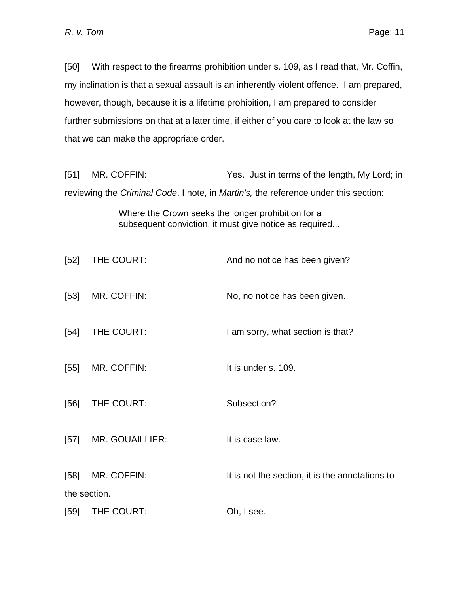[50] With respect to the firearms prohibition under s. 109, as I read that, Mr. Coffin, my inclination is that a sexual assault is an inherently violent offence. I am prepared, however, though, because it is a lifetime prohibition, I am prepared to consider further submissions on that at a later time, if either of you care to look at the law so that we can make the appropriate order.

[51] MR. COFFIN: Yes. Just in terms of the length, My Lord; in reviewing the *Criminal Code*, I note, in *Martin's,* the reference under this section:

> Where the Crown seeks the longer prohibition for a subsequent conviction, it must give notice as required...

| $[52]$       | THE COURT:      | And no notice has been given?                   |  |
|--------------|-----------------|-------------------------------------------------|--|
| $[53]$       | MR. COFFIN:     | No, no notice has been given.                   |  |
| $[54]$       | THE COURT:      | I am sorry, what section is that?               |  |
| $[55]$       | MR. COFFIN:     | It is under s. 109.                             |  |
| [56]         | THE COURT:      | Subsection?                                     |  |
| $[57]$       | MR. GOUAILLIER: | It is case law.                                 |  |
| $[58]$       | MR. COFFIN:     | It is not the section, it is the annotations to |  |
| the section. |                 |                                                 |  |
| [59]         | THE COURT:      | Oh, I see.                                      |  |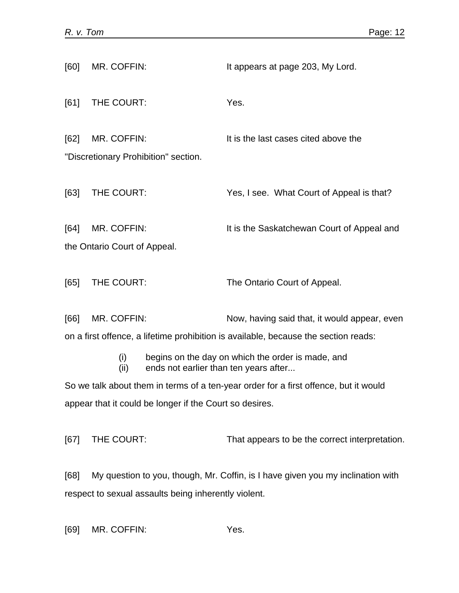| [60]                                                                                 | MR. COFFIN:                                                                     | It appears at page 203, My Lord.                  |  |  |
|--------------------------------------------------------------------------------------|---------------------------------------------------------------------------------|---------------------------------------------------|--|--|
| [61]                                                                                 | THE COURT:                                                                      | Yes.                                              |  |  |
| [62]                                                                                 | MR. COFFIN:                                                                     | It is the last cases cited above the              |  |  |
|                                                                                      | "Discretionary Prohibition" section.                                            |                                                   |  |  |
| [63]                                                                                 | THE COURT:                                                                      | Yes, I see. What Court of Appeal is that?         |  |  |
| [64]                                                                                 | MR. COFFIN:                                                                     | It is the Saskatchewan Court of Appeal and        |  |  |
| the Ontario Court of Appeal.                                                         |                                                                                 |                                                   |  |  |
| [65]                                                                                 | THE COURT:                                                                      | The Ontario Court of Appeal.                      |  |  |
| [66]                                                                                 | MR. COFFIN:                                                                     | Now, having said that, it would appear, even      |  |  |
| on a first offence, a lifetime prohibition is available, because the section reads:  |                                                                                 |                                                   |  |  |
|                                                                                      | (i)<br>ends not earlier than ten years after<br>(ii)                            | begins on the day on which the order is made, and |  |  |
| So we talk about them in terms of a ten-year order for a first offence, but it would |                                                                                 |                                                   |  |  |
| appear that it could be longer if the Court so desires.                              |                                                                                 |                                                   |  |  |
| [67]                                                                                 | THE COURT:                                                                      | That appears to be the correct interpretation.    |  |  |
| [68]                                                                                 | My question to you, though, Mr. Coffin, is I have given you my inclination with |                                                   |  |  |
| respect to sexual assaults being inherently violent.                                 |                                                                                 |                                                   |  |  |

[69] MR. COFFIN: Yes.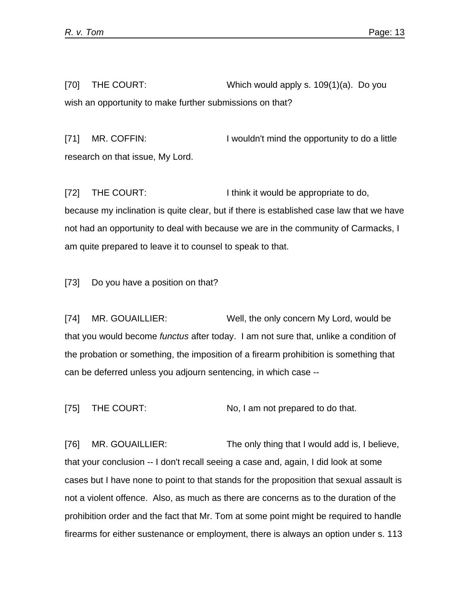[70] THE COURT: Which would apply s. 109(1)(a). Do you wish an opportunity to make further submissions on that?

[71] MR. COFFIN: I wouldn't mind the opportunity to do a little research on that issue, My Lord.

[72] THE COURT: I think it would be appropriate to do, because my inclination is quite clear, but if there is established case law that we have not had an opportunity to deal with because we are in the community of Carmacks, I am quite prepared to leave it to counsel to speak to that.

[73] Do you have a position on that?

[74] MR. GOUAILLIER: Well, the only concern My Lord, would be that you would become *functus* after today. I am not sure that, unlike a condition of the probation or something, the imposition of a firearm prohibition is something that can be deferred unless you adjourn sentencing, in which case --

[75] THE COURT: No, I am not prepared to do that.

[76] MR. GOUAILLIER: The only thing that I would add is, I believe, that your conclusion -- I don't recall seeing a case and, again, I did look at some cases but I have none to point to that stands for the proposition that sexual assault is not a violent offence. Also, as much as there are concerns as to the duration of the prohibition order and the fact that Mr. Tom at some point might be required to handle firearms for either sustenance or employment, there is always an option under s. 113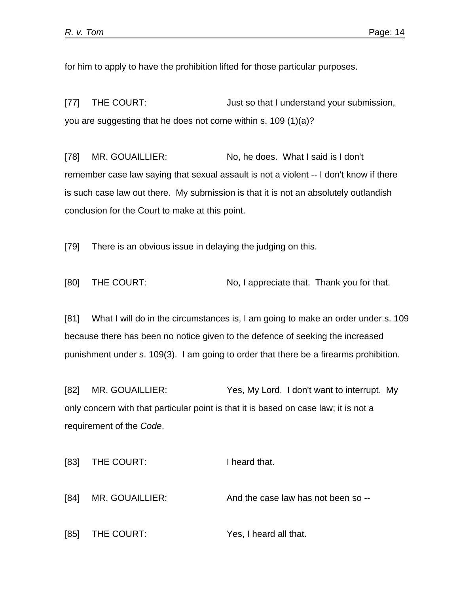for him to apply to have the prohibition lifted for those particular purposes.

[77] THE COURT: Just so that I understand your submission, you are suggesting that he does not come within s. 109 (1)(a)?

[78] MR. GOUAILLIER: No, he does. What I said is I don't remember case law saying that sexual assault is not a violent -- I don't know if there is such case law out there. My submission is that it is not an absolutely outlandish conclusion for the Court to make at this point.

[79] There is an obvious issue in delaying the judging on this.

[80] THE COURT: No, I appreciate that. Thank you for that.

[81] What I will do in the circumstances is, I am going to make an order under s. 109 because there has been no notice given to the defence of seeking the increased punishment under s. 109(3). I am going to order that there be a firearms prohibition.

[82] MR. GOUAILLIER: Yes, My Lord. I don't want to interrupt. My only concern with that particular point is that it is based on case law; it is not a requirement of the *Code*.

```
[83] THE COURT: I heard that.
[84] MR. GOUAILLIER: And the case law has not been so --
[85] THE COURT: Yes, I heard all that.
```